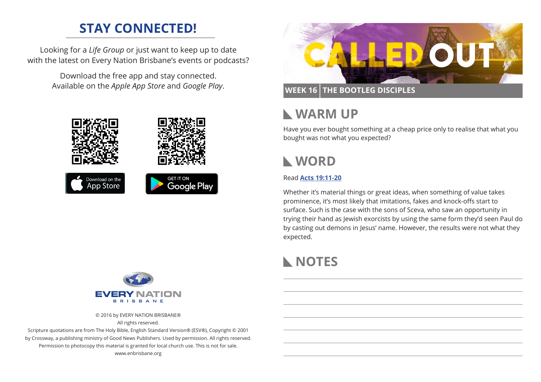# **STAY CONNECTED!**

Looking for a *Life Group* or just want to keep up to date with the latest on Every Nation Brisbane's events or podcasts?

> Download the free app and stay connected. Available on the *Apple App Store* and *Google Play*.





© 2016 by EVERY NATION BRISBANE® All rights reserved.

Scripture quotations are from The Holy Bible, English Standard Version® (ESV®), Copyright © 2001 by Crossway, a publishing ministry of Good News Publishers. Used by permission. All rights reserved. Permission to photocopy this material is granted for local church use. This is not for sale. www.enbrisbane.org



### **WEEK 16 THE BOOTLEG DISCIPLES**

# **WARM UP**

Have you ever bought something at a cheap price only to realise that what you bought was not what you expected?

# **WORD**

#### Read **[Acts 19:11-20](https://www.biblegateway.com/passage/?search=Acts+19%3A11-20&version=ESV)**

Whether it's material things or great ideas, when something of value takes prominence, it's most likely that imitations, fakes and knock-offs start to surface. Such is the case with the sons of Sceva, who saw an opportunity in trying their hand as Jewish exorcists by using the same form they'd seen Paul do by casting out demons in Jesus' name. However, the results were not what they expected.

# **NOTES**